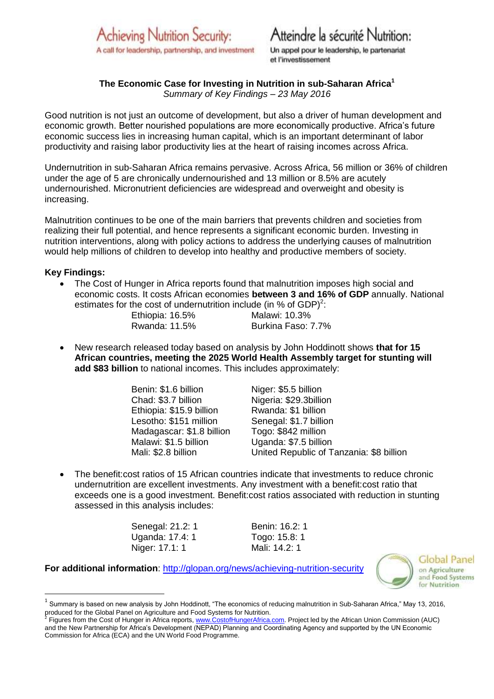

# Atteindre la sécurité Nutrition:

Un appel pour le leadership, le partenariat et l'investissement

# **The Economic Case for Investing in Nutrition in sub-Saharan Africa<sup>1</sup>**

*Summary of Key Findings – 23 May 2016*

Good nutrition is not just an outcome of development, but also a driver of human development and economic growth. Better nourished populations are more economically productive. Africa's future economic success lies in increasing human capital, which is an important determinant of labor productivity and raising labor productivity lies at the heart of raising incomes across Africa.

Undernutrition in sub-Saharan Africa remains pervasive. Across Africa, 56 million or 36% of children under the age of 5 are chronically undernourished and 13 million or 8.5% are acutely undernourished. Micronutrient deficiencies are widespread and overweight and obesity is increasing.

Malnutrition continues to be one of the main barriers that prevents children and societies from realizing their full potential, and hence represents a significant economic burden. Investing in nutrition interventions, along with policy actions to address the underlying causes of malnutrition would help millions of children to develop into healthy and productive members of society.

#### **Key Findings:**

**.** 

 The Cost of Hunger in Africa reports found that malnutrition imposes high social and economic costs. It costs African economies **between 3 and 16% of GDP** annually. National estimates for the cost of undernutrition include (in % of GDP)<sup>2</sup>: Ethiopia: 16.5% Malawi: 10.3%

Rwanda: 11.5% Burkina Faso: 7.7%

 New research released today based on analysis by John Hoddinott shows **that for 15 African countries, meeting the 2025 World Health Assembly target for stunting will add \$83 billion** to national incomes. This includes approximately:

> Benin: \$1.6 billion Niger: \$5.5 billion Chad: \$3.7 billion Nigeria: \$29.3billion Ethiopia: \$15.9 billion Rwanda: \$1 billion Lesotho: \$151 million Senegal: \$1.7 billion Madagascar: \$1.8 billion<br>Malawi: \$1.5 billion

Uganda: \$7.5 billion Mali: \$2.8 billion United Republic of Tanzania: \$8 billion

 The benefit:cost ratios of 15 African countries indicate that investments to reduce chronic undernutrition are excellent investments. Any investment with a benefit:cost ratio that exceeds one is a good investment. Benefit:cost ratios associated with reduction in stunting assessed in this analysis includes:

> Senegal: 21.2: 1 Benin: 16.2: 1 Uganda: 17.4: 1 Togo: 15.8: 1 Niger: 17.1: 1 Mali: 14.2: 1

**For additional information**:<http://glopan.org/news/achieving-nutrition-security>



Global Panel on Agriculture and Food Systems for Nutrition

 $^1$  Summary is based on new analysis by John Hoddinott, "The economics of reducing malnutrition in Sub-Saharan Africa," May 13, 2016, produced for the Global Panel on Agriculture and Food Systems for Nutrition.<br><sup>2</sup> Figure from the Cent of Hunger in Africe reports www.CentefHungerAfrice.

Figures from the Cost of Hunger in Africa reports, [www.CostofHungerAfrica.com.](http://www.costofhungerafrica.com/) Project led by the African Union Commission (AUC) and the New Partnership for Africa's Development (NEPAD) Planning and Coordinating Agency and supported by the UN Economic Commission for Africa (ECA) and the UN World Food Programme.